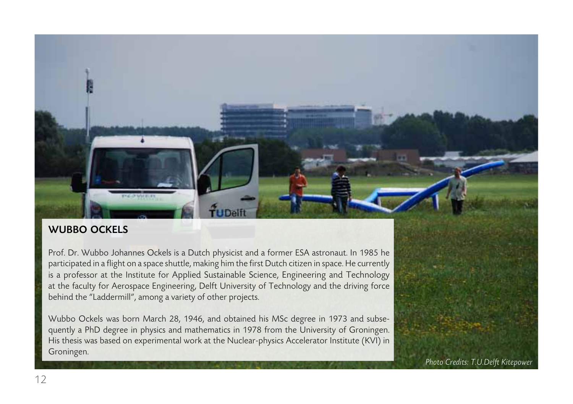## WUBBO OCKELS

Prof. Dr. Wubbo Johannes Ockels is a Dutch physicist and a former ESA astronaut. In 1985 he participated in a flight on a space shuttle, making him the first Dutch citizen in space. He currently is a professor at the Institute for Applied Sustainable Science, Engineering and Technology at the faculty for Aerospace Engineering, Delft University of Technology and the driving force behind the "Laddermill", among a variety of other projects.

Wubbo Ockels was born March 28, 1946, and obtained his MSc degree in 1973 and subsequently a PhD degree in physics and mathematics in 1978 from the University of Groningen. His thesis was based on experimental work at the Nuclear-physics Accelerator Institute (KVI) in Groningen.